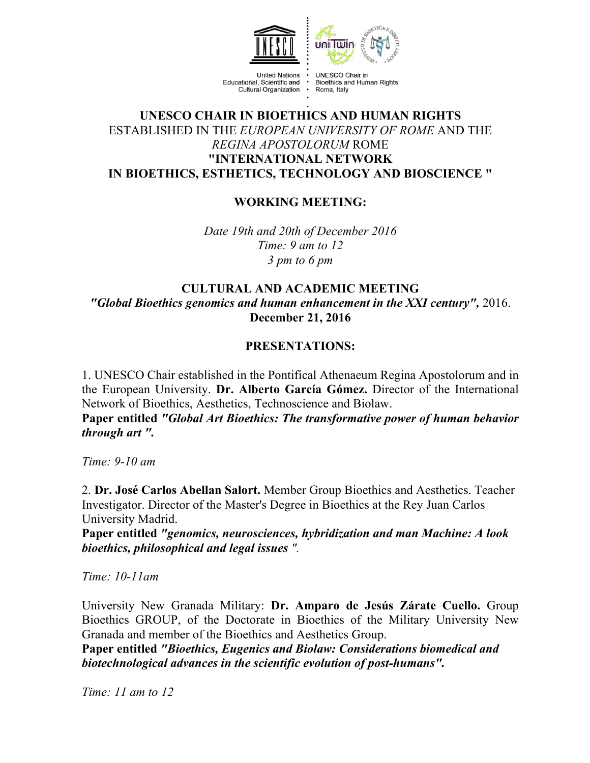



**United Nations** Educational, Scientific and Cultural Organization .

UNESCO Chair in Bioethics and Human Rights Roma, Italy

# **UNESCO CHAIR IN BIOETHICS AND HUMAN RIGHTS** ESTABLISHED IN THE *EUROPEAN UNIVERSITY OF ROME* AND THE *REGINA APOSTOLORUM* ROME **"INTERNATIONAL NETWORK IN BIOETHICS, ESTHETICS, TECHNOLOGY AND BIOSCIENCE "**

# **WORKING MEETING:**

*Date 19th and 20th of December 2016 Time: 9 am to 12 3 pm to 6 pm*

# **CULTURAL AND ACADEMIC MEETING** *"Global Bioethics genomics and human enhancement in the XXI century",* 2016. **December 21, 2016**

# **PRESENTATIONS:**

1. UNESCO Chair established in the Pontifical Athenaeum Regina Apostolorum and in the European University. **Dr. Alberto García Gómez.** Director of the International Network of Bioethics, Aesthetics, Technoscience and Biolaw.

**Paper entitled** *"Global Art Bioethics: The transformative power of human behavior through art ".*

*Time: 9-10 am*

2. **Dr. José Carlos Abellan Salort.** Member Group Bioethics and Aesthetics. Teacher Investigator. Director of the Master's Degree in Bioethics at the Rey Juan Carlos University Madrid.

**Paper entitled** *"genomics, neurosciences, hybridization and man Machine: A look bioethics, philosophical and legal issues ".*

*Time: 10-11am*

University New Granada Military: **Dr. Amparo de Jesús Zárate Cuello.** Group Bioethics GROUP, of the Doctorate in Bioethics of the Military University New Granada and member of the Bioethics and Aesthetics Group.

**Paper entitled** *"Bioethics, Eugenics and Biolaw: Considerations biomedical and biotechnological advances in the scientific evolution of post-humans".*

*Time: 11 am to 12*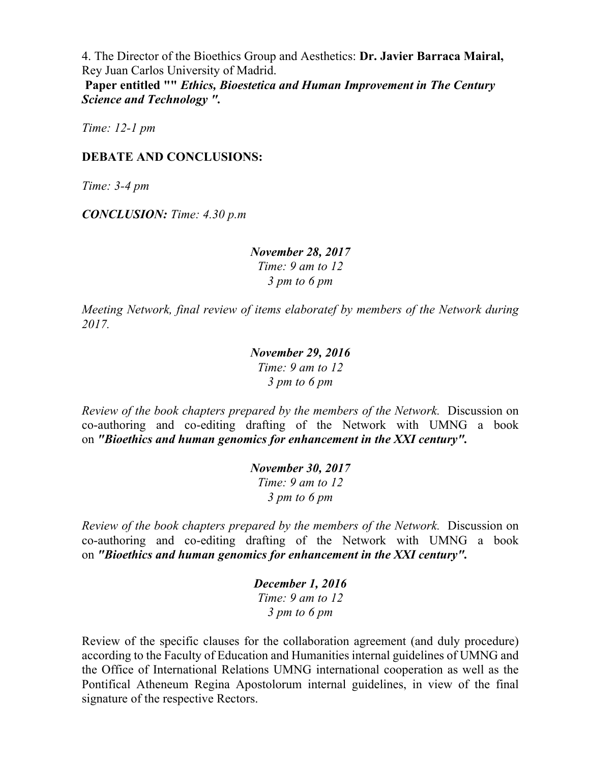4. The Director of the Bioethics Group and Aesthetics: **Dr. Javier Barraca Mairal,**  Rey Juan Carlos University of Madrid.

**Paper entitled ""** *Ethics, Bioestetica and Human Improvement in The Century Science and Technology ".*

*Time: 12-1 pm*

#### **DEBATE AND CONCLUSIONS:**

*Time: 3-4 pm*

*CONCLUSION: Time: 4.30 p.m*

#### *November 28, 2017 Time: 9 am to 12 3 pm to 6 pm*

*Meeting Network, final review of items elaboratef by members of the Network during 2017.*

## *November 29, 2016 Time: 9 am to 12 3 pm to 6 pm*

*Review of the book chapters prepared by the members of the Network.* Discussion on co-authoring and co-editing drafting of the Network with UMNG a book on *"Bioethics and human genomics for enhancement in the XXI century".*

> *November 30, 2017 Time: 9 am to 12 3 pm to 6 pm*

*Review of the book chapters prepared by the members of the Network.* Discussion on co-authoring and co-editing drafting of the Network with UMNG a book on *"Bioethics and human genomics for enhancement in the XXI century".*

> *December 1, 2016 Time: 9 am to 12 3 pm to 6 pm*

Review of the specific clauses for the collaboration agreement (and duly procedure) according to the Faculty of Education and Humanities internal guidelines of UMNG and the Office of International Relations UMNG international cooperation as well as the Pontifical Atheneum Regina Apostolorum internal guidelines, in view of the final signature of the respective Rectors.